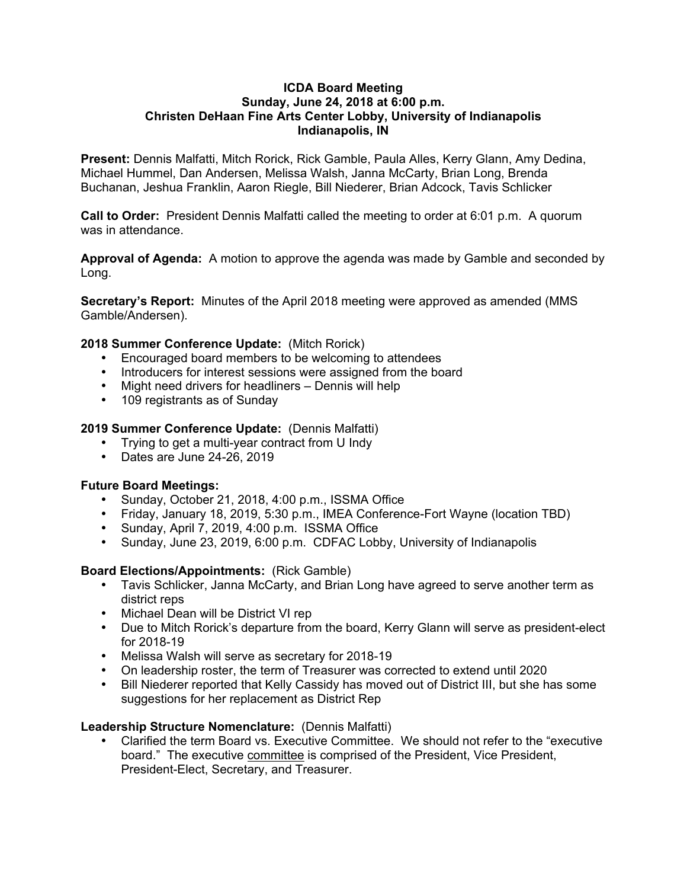#### **ICDA Board Meeting Sunday, June 24, 2018 at 6:00 p.m. Christen DeHaan Fine Arts Center Lobby, University of Indianapolis Indianapolis, IN**

**Present:** Dennis Malfatti, Mitch Rorick, Rick Gamble, Paula Alles, Kerry Glann, Amy Dedina, Michael Hummel, Dan Andersen, Melissa Walsh, Janna McCarty, Brian Long, Brenda Buchanan, Jeshua Franklin, Aaron Riegle, Bill Niederer, Brian Adcock, Tavis Schlicker

**Call to Order:** President Dennis Malfatti called the meeting to order at 6:01 p.m. A quorum was in attendance.

**Approval of Agenda:** A motion to approve the agenda was made by Gamble and seconded by Long.

**Secretary's Report:** Minutes of the April 2018 meeting were approved as amended (MMS Gamble/Andersen).

### **2018 Summer Conference Update:** (Mitch Rorick)

- Encouraged board members to be welcoming to attendees
- Introducers for interest sessions were assigned from the board
- Might need drivers for headliners Dennis will help
- 109 registrants as of Sunday

### **2019 Summer Conference Update:** (Dennis Malfatti)

- Trying to get a multi-year contract from U Indy
- Dates are June 24-26, 2019

### **Future Board Meetings:**

- Sunday, October 21, 2018, 4:00 p.m., ISSMA Office
- Friday, January 18, 2019, 5:30 p.m., IMEA Conference-Fort Wayne (location TBD)
- Sunday, April 7, 2019, 4:00 p.m. ISSMA Office
- Sunday, June 23, 2019, 6:00 p.m. CDFAC Lobby, University of Indianapolis

### **Board Elections/Appointments:** (Rick Gamble)

- Tavis Schlicker, Janna McCarty, and Brian Long have agreed to serve another term as district reps
- Michael Dean will be District VI rep
- Due to Mitch Rorick's departure from the board, Kerry Glann will serve as president-elect for 2018-19
- Melissa Walsh will serve as secretary for 2018-19
- On leadership roster, the term of Treasurer was corrected to extend until 2020
- Bill Niederer reported that Kelly Cassidy has moved out of District III, but she has some suggestions for her replacement as District Rep

### **Leadership Structure Nomenclature:** (Dennis Malfatti)

• Clarified the term Board vs. Executive Committee. We should not refer to the "executive board." The executive committee is comprised of the President, Vice President, President-Elect, Secretary, and Treasurer.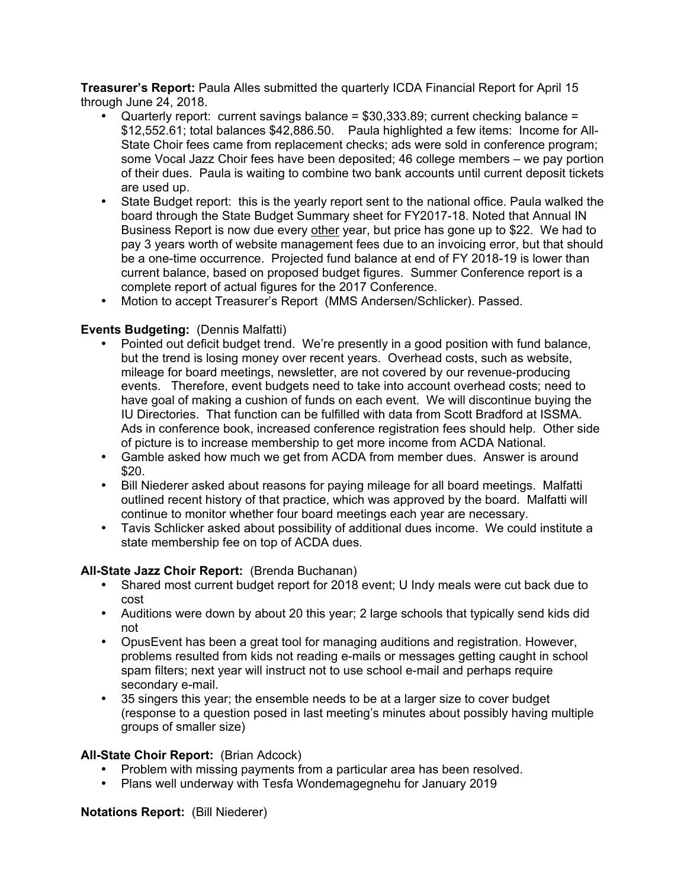**Treasurer's Report:** Paula Alles submitted the quarterly ICDA Financial Report for April 15 through June 24, 2018.

- Quarterly report: current savings balance = \$30,333.89; current checking balance = \$12,552.61; total balances \$42,886.50. Paula highlighted a few items: Income for All-State Choir fees came from replacement checks; ads were sold in conference program; some Vocal Jazz Choir fees have been deposited; 46 college members – we pay portion of their dues. Paula is waiting to combine two bank accounts until current deposit tickets are used up.
- State Budget report: this is the yearly report sent to the national office. Paula walked the board through the State Budget Summary sheet for FY2017-18. Noted that Annual IN Business Report is now due every other year, but price has gone up to \$22. We had to pay 3 years worth of website management fees due to an invoicing error, but that should be a one-time occurrence. Projected fund balance at end of FY 2018-19 is lower than current balance, based on proposed budget figures. Summer Conference report is a complete report of actual figures for the 2017 Conference.
- Motion to accept Treasurer's Report (MMS Andersen/Schlicker). Passed.

# **Events Budgeting:** (Dennis Malfatti)

- Pointed out deficit budget trend. We're presently in a good position with fund balance, but the trend is losing money over recent years. Overhead costs, such as website, mileage for board meetings, newsletter, are not covered by our revenue-producing events. Therefore, event budgets need to take into account overhead costs; need to have goal of making a cushion of funds on each event. We will discontinue buying the IU Directories. That function can be fulfilled with data from Scott Bradford at ISSMA. Ads in conference book, increased conference registration fees should help. Other side of picture is to increase membership to get more income from ACDA National.
- Gamble asked how much we get from ACDA from member dues. Answer is around \$20.
- Bill Niederer asked about reasons for paying mileage for all board meetings. Malfatti outlined recent history of that practice, which was approved by the board. Malfatti will continue to monitor whether four board meetings each year are necessary.
- Tavis Schlicker asked about possibility of additional dues income. We could institute a state membership fee on top of ACDA dues.

### **All-State Jazz Choir Report:** (Brenda Buchanan)

- Shared most current budget report for 2018 event; U Indy meals were cut back due to cost
- Auditions were down by about 20 this year; 2 large schools that typically send kids did not
- OpusEvent has been a great tool for managing auditions and registration. However, problems resulted from kids not reading e-mails or messages getting caught in school spam filters; next year will instruct not to use school e-mail and perhaps require secondary e-mail.
- 35 singers this year; the ensemble needs to be at a larger size to cover budget (response to a question posed in last meeting's minutes about possibly having multiple groups of smaller size)

# **All-State Choir Report:** (Brian Adcock)

- Problem with missing payments from a particular area has been resolved.
- Plans well underway with Tesfa Wondemagegnehu for January 2019

### **Notations Report:** (Bill Niederer)